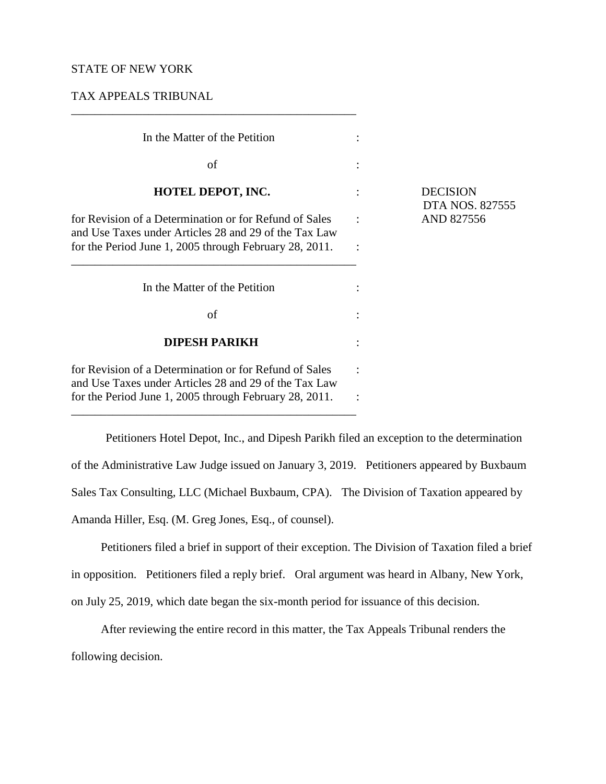## STATE OF NEW YORK

TAX APPEALS TRIBUNAL

| In the Matter of the Petition                                                                                                                                             |                |                                              |
|---------------------------------------------------------------------------------------------------------------------------------------------------------------------------|----------------|----------------------------------------------|
| of                                                                                                                                                                        |                |                                              |
| HOTEL DEPOT, INC.                                                                                                                                                         |                | <b>DECISION</b><br>DTA NOS. 82<br>AND 827556 |
| for Revision of a Determination or for Refund of Sales<br>and Use Taxes under Articles 28 and 29 of the Tax Law<br>for the Period June 1, 2005 through February 28, 2011. | $\ddot{\cdot}$ |                                              |
| In the Matter of the Petition                                                                                                                                             |                |                                              |
| of                                                                                                                                                                        |                |                                              |
| <b>DIPESH PARIKH</b>                                                                                                                                                      |                |                                              |
| for Revision of a Determination or for Refund of Sales<br>and Use Taxes under Articles 28 and 29 of the Tax Law                                                           |                |                                              |
| for the Period June 1, 2005 through February 28, 2011.                                                                                                                    |                |                                              |

\_\_\_\_\_\_\_\_\_\_\_\_\_\_\_\_\_\_\_\_\_\_\_\_\_\_\_\_\_\_\_\_\_\_\_\_\_\_\_\_\_\_\_\_\_\_\_\_

\_\_\_\_\_\_\_\_\_\_\_\_\_\_\_\_\_\_\_\_\_\_\_\_\_\_\_\_\_\_\_\_\_\_\_\_\_\_\_\_\_\_\_\_\_\_\_\_

**DECISION** DTA NOS. 827555

Petitioners Hotel Depot, Inc., and Dipesh Parikh filed an exception to the determination of the Administrative Law Judge issued on January 3, 2019. Petitioners appeared by Buxbaum Sales Tax Consulting, LLC (Michael Buxbaum, CPA). The Division of Taxation appeared by Amanda Hiller, Esq. (M. Greg Jones, Esq., of counsel).

Petitioners filed a brief in support of their exception. The Division of Taxation filed a brief in opposition. Petitioners filed a reply brief. Oral argument was heard in Albany, New York, on July 25, 2019, which date began the six-month period for issuance of this decision.

After reviewing the entire record in this matter, the Tax Appeals Tribunal renders the following decision.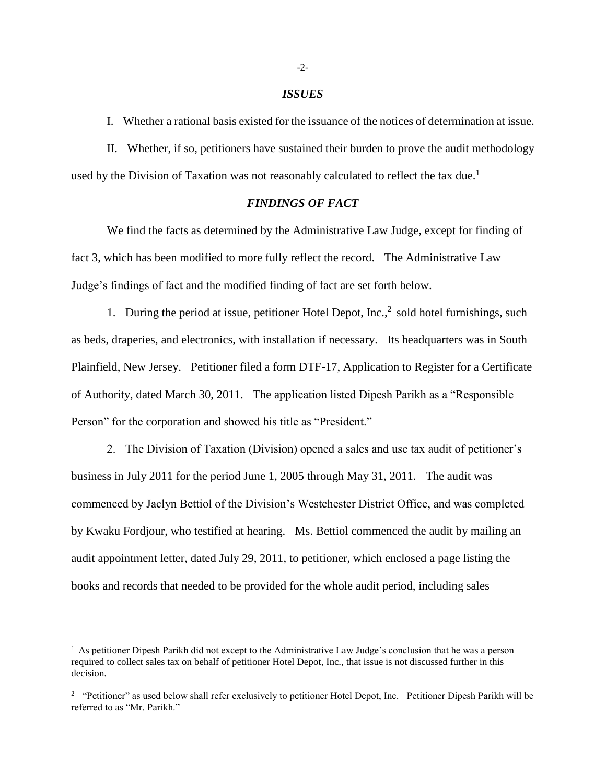#### *ISSUES*

I. Whether a rational basis existed for the issuance of the notices of determination at issue.

II. Whether, if so, petitioners have sustained their burden to prove the audit methodology used by the Division of Taxation was not reasonably calculated to reflect the tax due.<sup>1</sup>

# *FINDINGS OF FACT*

We find the facts as determined by the Administrative Law Judge, except for finding of fact 3, which has been modified to more fully reflect the record. The Administrative Law Judge's findings of fact and the modified finding of fact are set forth below.

1. During the period at issue, petitioner Hotel Depot,  $Inc.^2$  sold hotel furnishings, such as beds, draperies, and electronics, with installation if necessary. Its headquarters was in South Plainfield, New Jersey. Petitioner filed a form DTF-17, Application to Register for a Certificate of Authority, dated March 30, 2011. The application listed Dipesh Parikh as a "Responsible Person" for the corporation and showed his title as "President."

2. The Division of Taxation (Division) opened a sales and use tax audit of petitioner's business in July 2011 for the period June 1, 2005 through May 31, 2011. The audit was commenced by Jaclyn Bettiol of the Division's Westchester District Office, and was completed by Kwaku Fordjour, who testified at hearing. Ms. Bettiol commenced the audit by mailing an audit appointment letter, dated July 29, 2011, to petitioner, which enclosed a page listing the books and records that needed to be provided for the whole audit period, including sales

 $\overline{a}$ 

<sup>&</sup>lt;sup>1</sup> As petitioner Dipesh Parikh did not except to the Administrative Law Judge's conclusion that he was a person required to collect sales tax on behalf of petitioner Hotel Depot, Inc., that issue is not discussed further in this decision.

<sup>&</sup>lt;sup>2</sup> "Petitioner" as used below shall refer exclusively to petitioner Hotel Depot, Inc. Petitioner Dipesh Parikh will be referred to as "Mr. Parikh."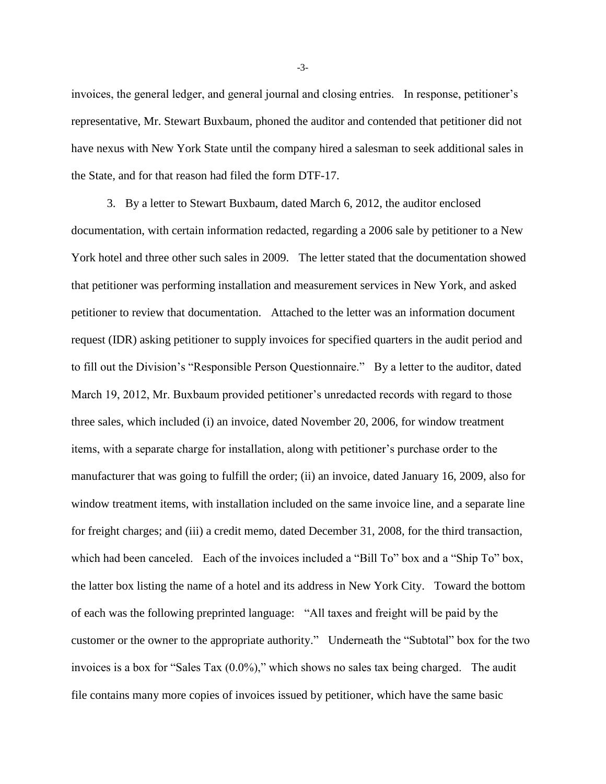invoices, the general ledger, and general journal and closing entries. In response, petitioner's representative, Mr. Stewart Buxbaum, phoned the auditor and contended that petitioner did not have nexus with New York State until the company hired a salesman to seek additional sales in the State, and for that reason had filed the form DTF-17.

3. By a letter to Stewart Buxbaum, dated March 6, 2012, the auditor enclosed documentation, with certain information redacted, regarding a 2006 sale by petitioner to a New York hotel and three other such sales in 2009. The letter stated that the documentation showed that petitioner was performing installation and measurement services in New York, and asked petitioner to review that documentation. Attached to the letter was an information document request (IDR) asking petitioner to supply invoices for specified quarters in the audit period and to fill out the Division's "Responsible Person Questionnaire." By a letter to the auditor, dated March 19, 2012, Mr. Buxbaum provided petitioner's unredacted records with regard to those three sales, which included (i) an invoice, dated November 20, 2006, for window treatment items, with a separate charge for installation, along with petitioner's purchase order to the manufacturer that was going to fulfill the order; (ii) an invoice, dated January 16, 2009, also for window treatment items, with installation included on the same invoice line, and a separate line for freight charges; and (iii) a credit memo, dated December 31, 2008, for the third transaction, which had been canceled. Each of the invoices included a "Bill To" box and a "Ship To" box, the latter box listing the name of a hotel and its address in New York City. Toward the bottom of each was the following preprinted language: "All taxes and freight will be paid by the customer or the owner to the appropriate authority." Underneath the "Subtotal" box for the two invoices is a box for "Sales Tax (0.0%)," which shows no sales tax being charged. The audit file contains many more copies of invoices issued by petitioner, which have the same basic

-3-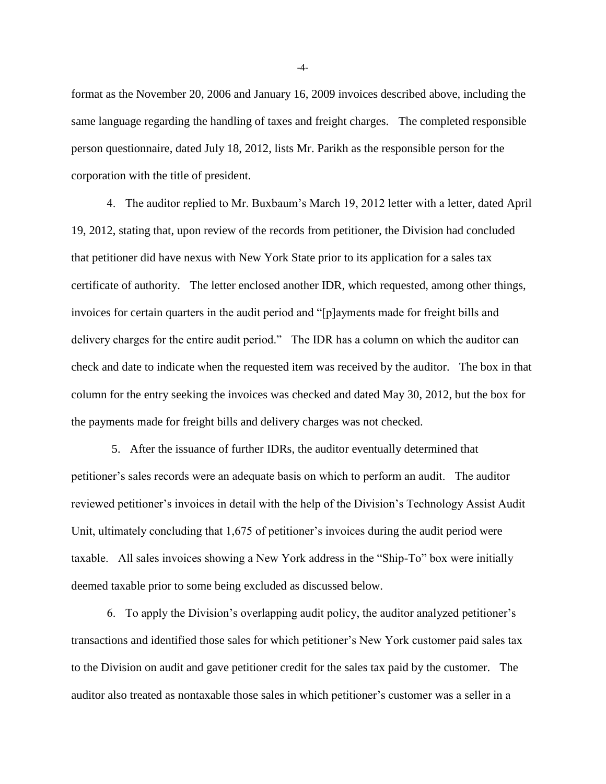format as the November 20, 2006 and January 16, 2009 invoices described above, including the same language regarding the handling of taxes and freight charges. The completed responsible person questionnaire, dated July 18, 2012, lists Mr. Parikh as the responsible person for the corporation with the title of president.

4. The auditor replied to Mr. Buxbaum's March 19, 2012 letter with a letter, dated April 19, 2012, stating that, upon review of the records from petitioner, the Division had concluded that petitioner did have nexus with New York State prior to its application for a sales tax certificate of authority. The letter enclosed another IDR, which requested, among other things, invoices for certain quarters in the audit period and "[p]ayments made for freight bills and delivery charges for the entire audit period." The IDR has a column on which the auditor can check and date to indicate when the requested item was received by the auditor. The box in that column for the entry seeking the invoices was checked and dated May 30, 2012, but the box for the payments made for freight bills and delivery charges was not checked.

5. After the issuance of further IDRs, the auditor eventually determined that petitioner's sales records were an adequate basis on which to perform an audit. The auditor reviewed petitioner's invoices in detail with the help of the Division's Technology Assist Audit Unit, ultimately concluding that 1,675 of petitioner's invoices during the audit period were taxable. All sales invoices showing a New York address in the "Ship-To" box were initially deemed taxable prior to some being excluded as discussed below.

6. To apply the Division's overlapping audit policy, the auditor analyzed petitioner's transactions and identified those sales for which petitioner's New York customer paid sales tax to the Division on audit and gave petitioner credit for the sales tax paid by the customer. The auditor also treated as nontaxable those sales in which petitioner's customer was a seller in a

-4-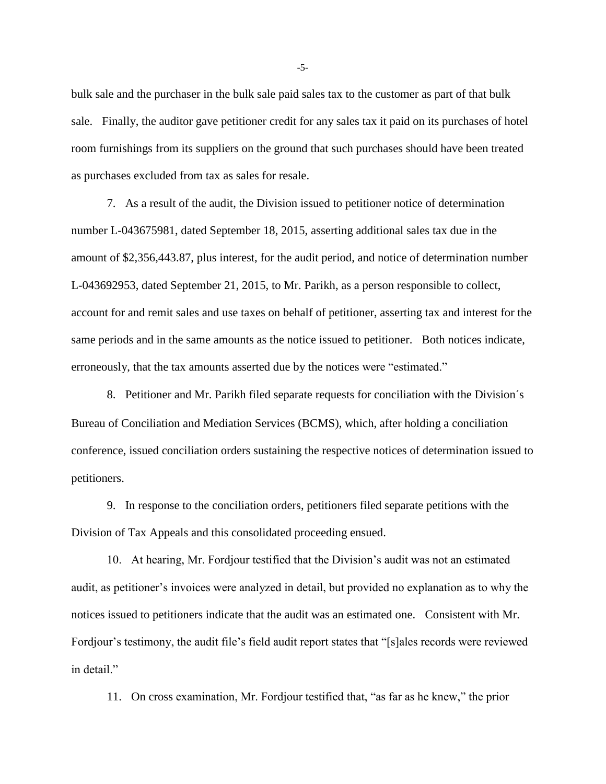bulk sale and the purchaser in the bulk sale paid sales tax to the customer as part of that bulk sale. Finally, the auditor gave petitioner credit for any sales tax it paid on its purchases of hotel room furnishings from its suppliers on the ground that such purchases should have been treated as purchases excluded from tax as sales for resale.

7. As a result of the audit, the Division issued to petitioner notice of determination number L-043675981, dated September 18, 2015, asserting additional sales tax due in the amount of \$2,356,443.87, plus interest, for the audit period, and notice of determination number L-043692953, dated September 21, 2015, to Mr. Parikh, as a person responsible to collect, account for and remit sales and use taxes on behalf of petitioner, asserting tax and interest for the same periods and in the same amounts as the notice issued to petitioner. Both notices indicate, erroneously, that the tax amounts asserted due by the notices were "estimated."

8. Petitioner and Mr. Parikh filed separate requests for conciliation with the Division´s Bureau of Conciliation and Mediation Services (BCMS), which, after holding a conciliation conference, issued conciliation orders sustaining the respective notices of determination issued to petitioners.

9. In response to the conciliation orders, petitioners filed separate petitions with the Division of Tax Appeals and this consolidated proceeding ensued.

10. At hearing, Mr. Fordjour testified that the Division's audit was not an estimated audit, as petitioner's invoices were analyzed in detail, but provided no explanation as to why the notices issued to petitioners indicate that the audit was an estimated one. Consistent with Mr. Fordjour's testimony, the audit file's field audit report states that "[s]ales records were reviewed in detail."

11. On cross examination, Mr. Fordjour testified that, "as far as he knew," the prior

-5-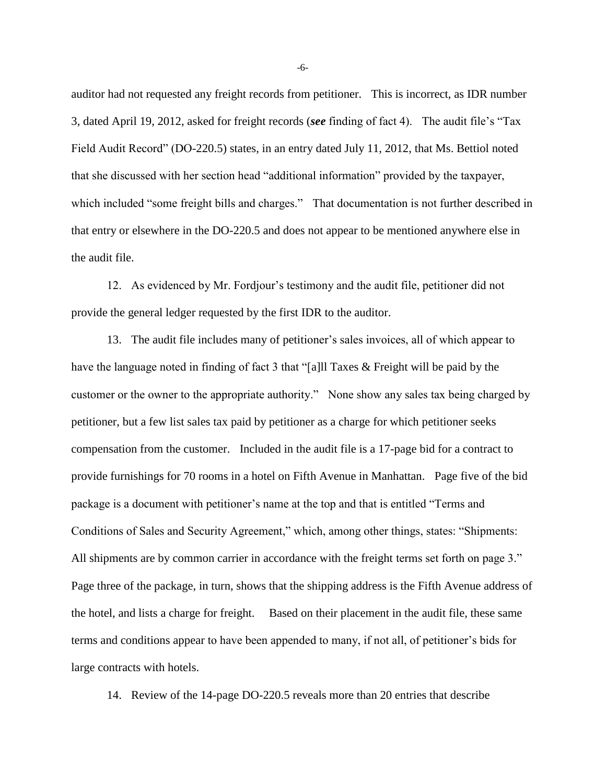auditor had not requested any freight records from petitioner. This is incorrect, as IDR number 3, dated April 19, 2012, asked for freight records (*see* finding of fact 4). The audit file's "Tax Field Audit Record" (DO-220.5) states, in an entry dated July 11, 2012, that Ms. Bettiol noted that she discussed with her section head "additional information" provided by the taxpayer, which included "some freight bills and charges." That documentation is not further described in that entry or elsewhere in the DO-220.5 and does not appear to be mentioned anywhere else in the audit file.

12. As evidenced by Mr. Fordjour's testimony and the audit file, petitioner did not provide the general ledger requested by the first IDR to the auditor.

13. The audit file includes many of petitioner's sales invoices, all of which appear to have the language noted in finding of fact 3 that "[a]ll Taxes & Freight will be paid by the customer or the owner to the appropriate authority." None show any sales tax being charged by petitioner, but a few list sales tax paid by petitioner as a charge for which petitioner seeks compensation from the customer. Included in the audit file is a 17-page bid for a contract to provide furnishings for 70 rooms in a hotel on Fifth Avenue in Manhattan. Page five of the bid package is a document with petitioner's name at the top and that is entitled "Terms and Conditions of Sales and Security Agreement," which, among other things, states: "Shipments: All shipments are by common carrier in accordance with the freight terms set forth on page 3." Page three of the package, in turn, shows that the shipping address is the Fifth Avenue address of the hotel, and lists a charge for freight. Based on their placement in the audit file, these same terms and conditions appear to have been appended to many, if not all, of petitioner's bids for large contracts with hotels.

14. Review of the 14-page DO-220.5 reveals more than 20 entries that describe

-6-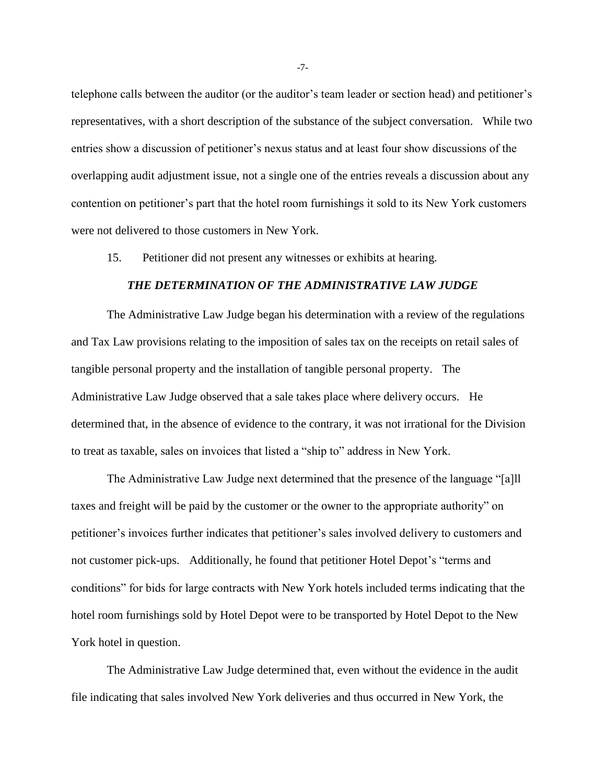telephone calls between the auditor (or the auditor's team leader or section head) and petitioner's representatives, with a short description of the substance of the subject conversation. While two entries show a discussion of petitioner's nexus status and at least four show discussions of the overlapping audit adjustment issue, not a single one of the entries reveals a discussion about any contention on petitioner's part that the hotel room furnishings it sold to its New York customers were not delivered to those customers in New York.

15. Petitioner did not present any witnesses or exhibits at hearing.

### *THE DETERMINATION OF THE ADMINISTRATIVE LAW JUDGE*

The Administrative Law Judge began his determination with a review of the regulations and Tax Law provisions relating to the imposition of sales tax on the receipts on retail sales of tangible personal property and the installation of tangible personal property. The Administrative Law Judge observed that a sale takes place where delivery occurs. He determined that, in the absence of evidence to the contrary, it was not irrational for the Division to treat as taxable, sales on invoices that listed a "ship to" address in New York.

The Administrative Law Judge next determined that the presence of the language "[a]ll taxes and freight will be paid by the customer or the owner to the appropriate authority" on petitioner's invoices further indicates that petitioner's sales involved delivery to customers and not customer pick-ups. Additionally, he found that petitioner Hotel Depot's "terms and conditions" for bids for large contracts with New York hotels included terms indicating that the hotel room furnishings sold by Hotel Depot were to be transported by Hotel Depot to the New York hotel in question.

The Administrative Law Judge determined that, even without the evidence in the audit file indicating that sales involved New York deliveries and thus occurred in New York, the

-7-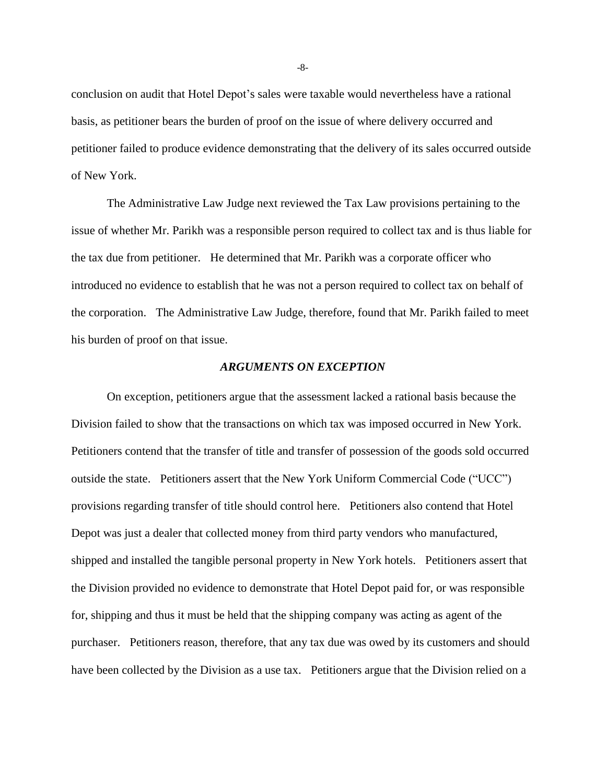conclusion on audit that Hotel Depot's sales were taxable would nevertheless have a rational basis, as petitioner bears the burden of proof on the issue of where delivery occurred and petitioner failed to produce evidence demonstrating that the delivery of its sales occurred outside of New York.

The Administrative Law Judge next reviewed the Tax Law provisions pertaining to the issue of whether Mr. Parikh was a responsible person required to collect tax and is thus liable for the tax due from petitioner. He determined that Mr. Parikh was a corporate officer who introduced no evidence to establish that he was not a person required to collect tax on behalf of the corporation. The Administrative Law Judge, therefore, found that Mr. Parikh failed to meet his burden of proof on that issue.

### *ARGUMENTS ON EXCEPTION*

On exception, petitioners argue that the assessment lacked a rational basis because the Division failed to show that the transactions on which tax was imposed occurred in New York. Petitioners contend that the transfer of title and transfer of possession of the goods sold occurred outside the state. Petitioners assert that the New York Uniform Commercial Code ("UCC") provisions regarding transfer of title should control here. Petitioners also contend that Hotel Depot was just a dealer that collected money from third party vendors who manufactured, shipped and installed the tangible personal property in New York hotels. Petitioners assert that the Division provided no evidence to demonstrate that Hotel Depot paid for, or was responsible for, shipping and thus it must be held that the shipping company was acting as agent of the purchaser. Petitioners reason, therefore, that any tax due was owed by its customers and should have been collected by the Division as a use tax. Petitioners argue that the Division relied on a

-8-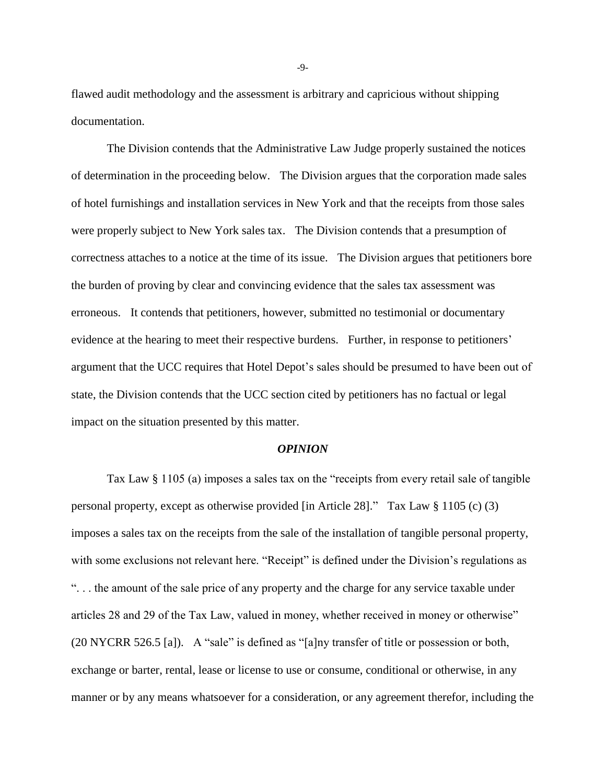flawed audit methodology and the assessment is arbitrary and capricious without shipping documentation.

The Division contends that the Administrative Law Judge properly sustained the notices of determination in the proceeding below. The Division argues that the corporation made sales of hotel furnishings and installation services in New York and that the receipts from those sales were properly subject to New York sales tax. The Division contends that a presumption of correctness attaches to a notice at the time of its issue. The Division argues that petitioners bore the burden of proving by clear and convincing evidence that the sales tax assessment was erroneous. It contends that petitioners, however, submitted no testimonial or documentary evidence at the hearing to meet their respective burdens. Further, in response to petitioners' argument that the UCC requires that Hotel Depot's sales should be presumed to have been out of state, the Division contends that the UCC section cited by petitioners has no factual or legal impact on the situation presented by this matter.

#### *OPINION*

Tax Law § 1105 (a) imposes a sales tax on the "receipts from every retail sale of tangible personal property, except as otherwise provided [in Article 28]." Tax Law § 1105 (c) (3) imposes a sales tax on the receipts from the sale of the installation of tangible personal property, with some exclusions not relevant here. "Receipt" is defined under the Division's regulations as ". . . the amount of the sale price of any property and the charge for any service taxable under articles 28 and 29 of the Tax Law, valued in money, whether received in money or otherwise" (20 NYCRR 526.5 [a]). A "sale" is defined as "[a]ny transfer of title or possession or both, exchange or barter, rental, lease or license to use or consume, conditional or otherwise, in any manner or by any means whatsoever for a consideration, or any agreement therefor, including the

-9-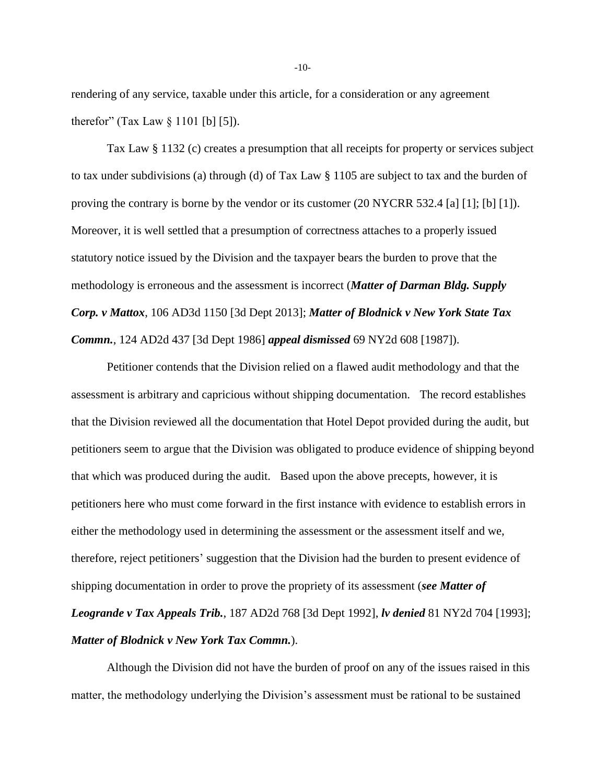rendering of any service, taxable under this article, for a consideration or any agreement therefor" (Tax Law  $\S 1101$  [b] [5]).

Tax Law § 1132 (c) creates a presumption that all receipts for property or services subject to tax under subdivisions (a) through (d) of Tax Law § 1105 are subject to tax and the burden of proving the contrary is borne by the vendor or its customer (20 NYCRR 532.4 [a] [1]; [b] [1]). Moreover, it is well settled that a presumption of correctness attaches to a properly issued statutory notice issued by the Division and the taxpayer bears the burden to prove that the methodology is erroneous and the assessment is incorrect (*Matter of Darman Bldg. Supply Corp. v Mattox*, 106 AD3d 1150 [3d Dept 2013]; *Matter of Blodnick v New York State Tax Commn.*, 124 AD2d 437 [3d Dept 1986] *appeal dismissed* 69 NY2d 608 [1987]).

Petitioner contends that the Division relied on a flawed audit methodology and that the assessment is arbitrary and capricious without shipping documentation. The record establishes that the Division reviewed all the documentation that Hotel Depot provided during the audit, but petitioners seem to argue that the Division was obligated to produce evidence of shipping beyond that which was produced during the audit. Based upon the above precepts, however, it is petitioners here who must come forward in the first instance with evidence to establish errors in either the methodology used in determining the assessment or the assessment itself and we, therefore, reject petitioners' suggestion that the Division had the burden to present evidence of shipping documentation in order to prove the propriety of its assessment (*see Matter of Leogrande v Tax Appeals Trib.*, 187 AD2d 768 [3d Dept 1992], *lv denied* 81 NY2d 704 [1993]; *Matter of Blodnick v New York Tax Commn.*).

Although the Division did not have the burden of proof on any of the issues raised in this matter, the methodology underlying the Division's assessment must be rational to be sustained

-10-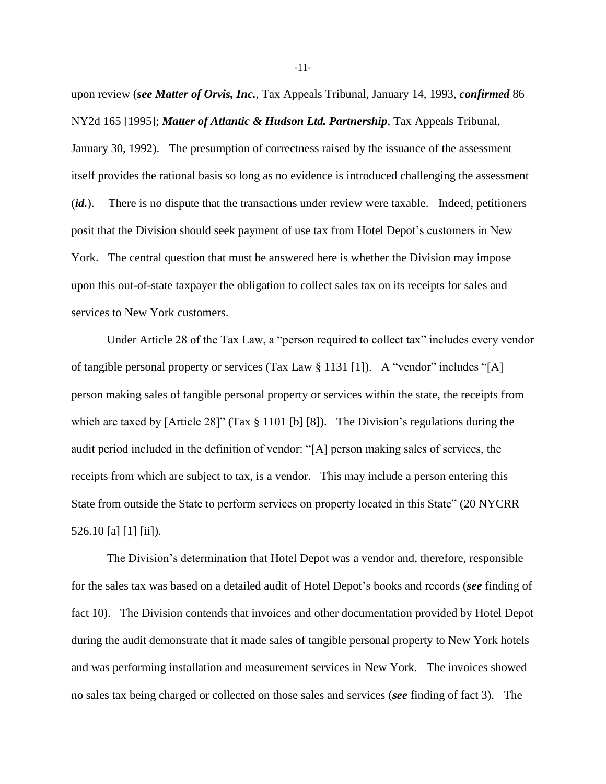upon review (*see Matter of Orvis, Inc.*, Tax Appeals Tribunal, January 14, 1993, *confirmed* 86 NY2d 165 [1995]; *Matter of Atlantic & Hudson Ltd. Partnership*, Tax Appeals Tribunal, January 30, 1992). The presumption of correctness raised by the issuance of the assessment itself provides the rational basis so long as no evidence is introduced challenging the assessment (*id.*). There is no dispute that the transactions under review were taxable. Indeed, petitioners posit that the Division should seek payment of use tax from Hotel Depot's customers in New York. The central question that must be answered here is whether the Division may impose upon this out-of-state taxpayer the obligation to collect sales tax on its receipts for sales and services to New York customers.

Under Article 28 of the Tax Law, a "person required to collect tax" includes every vendor of tangible personal property or services (Tax Law § 1131 [1]). A "vendor" includes "[A] person making sales of tangible personal property or services within the state, the receipts from which are taxed by [Article 28]" (Tax § 1101 [b] [8]). The Division's regulations during the audit period included in the definition of vendor: "[A] person making sales of services, the receipts from which are subject to tax, is a vendor. This may include a person entering this State from outside the State to perform services on property located in this State" (20 NYCRR 526.10 [a] [1] [ii]).

The Division's determination that Hotel Depot was a vendor and, therefore, responsible for the sales tax was based on a detailed audit of Hotel Depot's books and records (*see* finding of fact 10). The Division contends that invoices and other documentation provided by Hotel Depot during the audit demonstrate that it made sales of tangible personal property to New York hotels and was performing installation and measurement services in New York. The invoices showed no sales tax being charged or collected on those sales and services (*see* finding of fact 3). The

-11-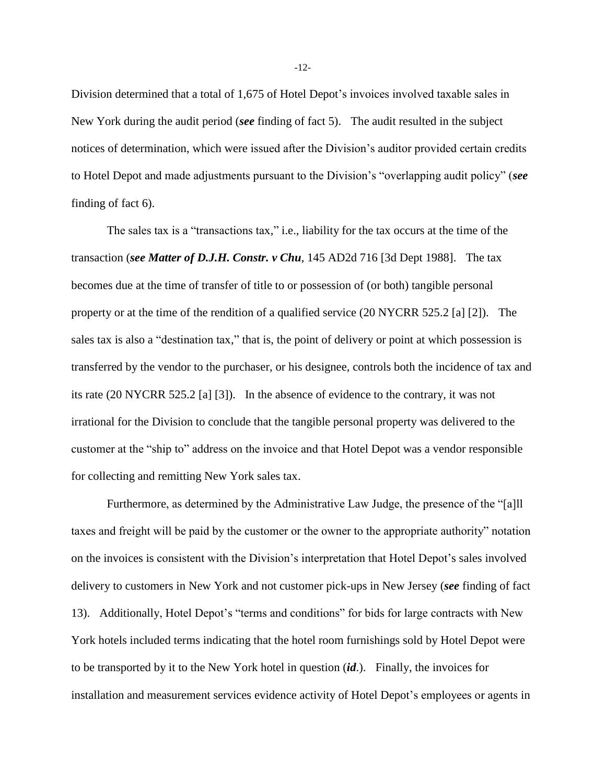Division determined that a total of 1,675 of Hotel Depot's invoices involved taxable sales in New York during the audit period (*see* finding of fact 5). The audit resulted in the subject notices of determination, which were issued after the Division's auditor provided certain credits to Hotel Depot and made adjustments pursuant to the Division's "overlapping audit policy" (*see* finding of fact 6).

The sales tax is a "transactions tax," i.e., liability for the tax occurs at the time of the transaction (*see Matter of D.J.H. Constr. v Chu*, 145 AD2d 716 [3d Dept 1988]. The tax becomes due at the time of transfer of title to or possession of (or both) tangible personal property or at the time of the rendition of a qualified service (20 NYCRR 525.2 [a] [2]). The sales tax is also a "destination tax," that is, the point of delivery or point at which possession is transferred by the vendor to the purchaser, or his designee, controls both the incidence of tax and its rate (20 NYCRR 525.2 [a] [3]). In the absence of evidence to the contrary, it was not irrational for the Division to conclude that the tangible personal property was delivered to the customer at the "ship to" address on the invoice and that Hotel Depot was a vendor responsible for collecting and remitting New York sales tax.

Furthermore, as determined by the Administrative Law Judge, the presence of the "[a]ll taxes and freight will be paid by the customer or the owner to the appropriate authority" notation on the invoices is consistent with the Division's interpretation that Hotel Depot's sales involved delivery to customers in New York and not customer pick-ups in New Jersey (*see* finding of fact 13). Additionally, Hotel Depot's "terms and conditions" for bids for large contracts with New York hotels included terms indicating that the hotel room furnishings sold by Hotel Depot were to be transported by it to the New York hotel in question (*id*.). Finally, the invoices for installation and measurement services evidence activity of Hotel Depot's employees or agents in

-12-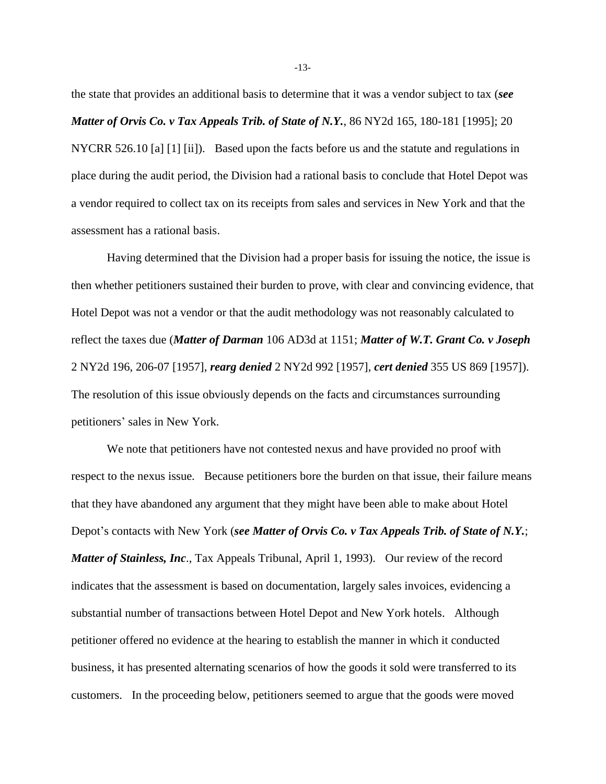the state that provides an additional basis to determine that it was a vendor subject to tax (*see Matter of Orvis Co. v Tax Appeals Trib. of State of N.Y.*, 86 NY2d 165, 180-181 [1995]; 20 NYCRR 526.10 [a] [1] [ii]). Based upon the facts before us and the statute and regulations in place during the audit period, the Division had a rational basis to conclude that Hotel Depot was a vendor required to collect tax on its receipts from sales and services in New York and that the assessment has a rational basis.

Having determined that the Division had a proper basis for issuing the notice, the issue is then whether petitioners sustained their burden to prove, with clear and convincing evidence, that Hotel Depot was not a vendor or that the audit methodology was not reasonably calculated to reflect the taxes due (*Matter of Darman* 106 AD3d at 1151; *Matter of W.T. Grant Co. v Joseph* 2 NY2d 196, 206-07 [1957], *rearg denied* 2 NY2d 992 [1957], *cert denied* 355 US 869 [1957]). The resolution of this issue obviously depends on the facts and circumstances surrounding petitioners' sales in New York.

We note that petitioners have not contested nexus and have provided no proof with respect to the nexus issue. Because petitioners bore the burden on that issue, their failure means that they have abandoned any argument that they might have been able to make about Hotel Depot's contacts with New York (*see Matter of Orvis Co. v Tax Appeals Trib. of State of N.Y.*; *Matter of Stainless, Inc*., Tax Appeals Tribunal, April 1, 1993). Our review of the record indicates that the assessment is based on documentation, largely sales invoices, evidencing a substantial number of transactions between Hotel Depot and New York hotels. Although petitioner offered no evidence at the hearing to establish the manner in which it conducted business, it has presented alternating scenarios of how the goods it sold were transferred to its customers. In the proceeding below, petitioners seemed to argue that the goods were moved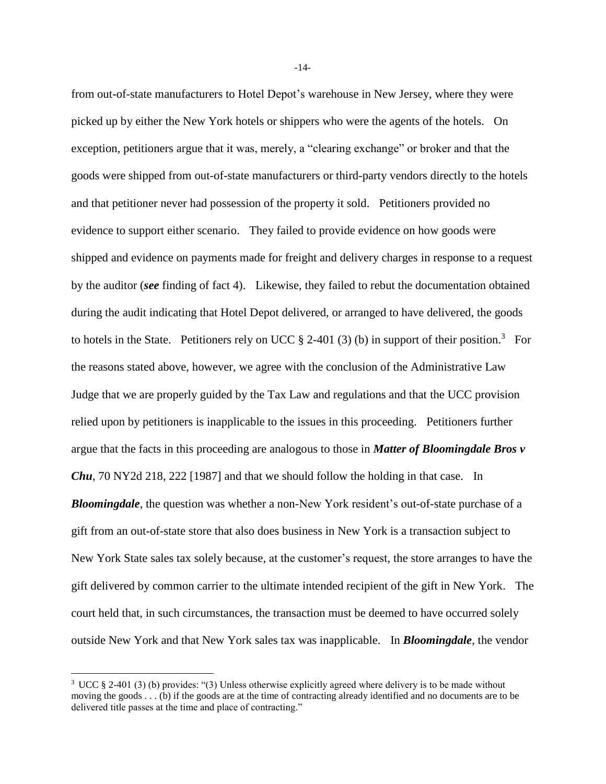from out-of-state manufacturers to Hotel Depot's warehouse in New Jersey, where they were picked up by either the New York hotels or shippers who were the agents of the hotels. On exception, petitioners argue that it was, merely, a "clearing exchange" or broker and that the goods were shipped from out-of-state manufacturers or third-party vendors directly to the hotels and that petitioner never had possession of the property it sold. Petitioners provided no evidence to support either scenario. They failed to provide evidence on how goods were shipped and evidence on payments made for freight and delivery charges in response to a request by the auditor (*see* finding of fact 4). Likewise, they failed to rebut the documentation obtained during the audit indicating that Hotel Depot delivered, or arranged to have delivered, the goods to hotels in the State. Petitioners rely on UCC  $\S$  2-401 (3) (b) in support of their position.<sup>3</sup> For the reasons stated above, however, we agree with the conclusion of the Administrative Law Judge that we are properly guided by the Tax Law and regulations and that the UCC provision relied upon by petitioners is inapplicable to the issues in this proceeding. Petitioners further argue that the facts in this proceeding are analogous to those in *Matter of Bloomingdale Bros v Chu*, 70 NY2d 218, 222 [1987] and that we should follow the holding in that case. In *Bloomingdale*, the question was whether a non-New York resident's out-of-state purchase of a gift from an out-of-state store that also does business in New York is a transaction subject to New York State sales tax solely because, at the customer's request, the store arranges to have the gift delivered by common carrier to the ultimate intended recipient of the gift in New York. The court held that, in such circumstances, the transaction must be deemed to have occurred solely outside New York and that New York sales tax was inapplicable. In *Bloomingdale*, the vendor

 $\overline{a}$ 

-14-

<sup>3</sup> UCC § 2-401 (3) (b) provides: "(3) Unless otherwise explicitly agreed where delivery is to be made without moving the goods . . . (b) if the goods are at the time of contracting already identified and no documents are to be delivered title passes at the time and place of contracting."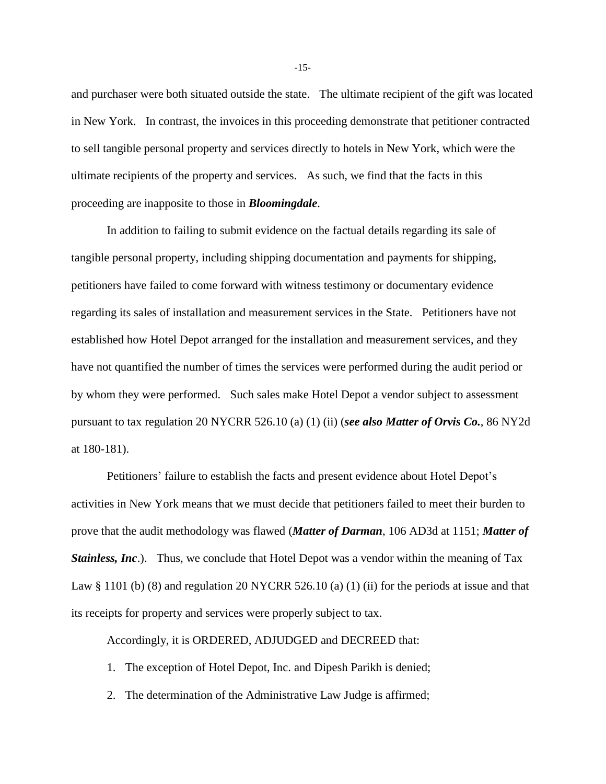and purchaser were both situated outside the state. The ultimate recipient of the gift was located in New York. In contrast, the invoices in this proceeding demonstrate that petitioner contracted to sell tangible personal property and services directly to hotels in New York, which were the ultimate recipients of the property and services. As such, we find that the facts in this proceeding are inapposite to those in *Bloomingdale*.

In addition to failing to submit evidence on the factual details regarding its sale of tangible personal property, including shipping documentation and payments for shipping, petitioners have failed to come forward with witness testimony or documentary evidence regarding its sales of installation and measurement services in the State. Petitioners have not established how Hotel Depot arranged for the installation and measurement services, and they have not quantified the number of times the services were performed during the audit period or by whom they were performed. Such sales make Hotel Depot a vendor subject to assessment pursuant to tax regulation 20 NYCRR 526.10 (a) (1) (ii) (*see also Matter of Orvis Co.*, 86 NY2d at 180-181).

Petitioners' failure to establish the facts and present evidence about Hotel Depot's activities in New York means that we must decide that petitioners failed to meet their burden to prove that the audit methodology was flawed (*Matter of Darman*, 106 AD3d at 1151; *Matter of Stainless, Inc.*). Thus, we conclude that Hotel Depot was a vendor within the meaning of Tax Law  $\S 1101$  (b) (8) and regulation 20 NYCRR 526.10 (a) (1) (ii) for the periods at issue and that its receipts for property and services were properly subject to tax.

Accordingly, it is ORDERED, ADJUDGED and DECREED that:

- 1. The exception of Hotel Depot, Inc. and Dipesh Parikh is denied;
- 2. The determination of the Administrative Law Judge is affirmed;

-15-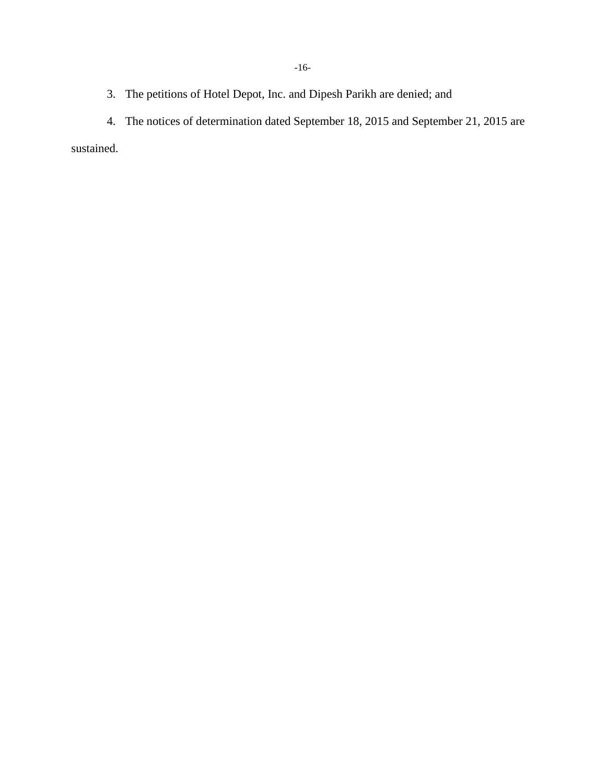3. The petitions of Hotel Depot, Inc. and Dipesh Parikh are denied; and

4. The notices of determination dated September 18, 2015 and September 21, 2015 are sustained.